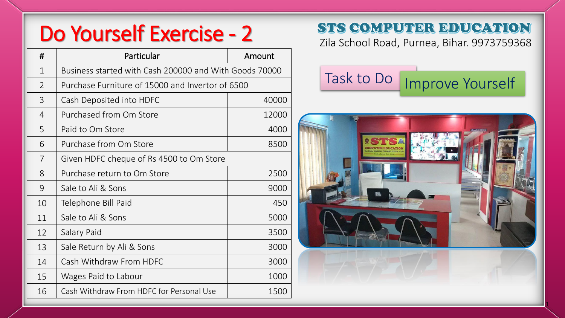# Do Yourself Exercise - 2 STS COMPUTER EDUCATION

| #              | Particular                                             | Amount |
|----------------|--------------------------------------------------------|--------|
| $\mathbf{1}$   | Business started with Cash 200000 and With Goods 70000 |        |
| $\overline{2}$ | Purchase Furniture of 15000 and Invertor of 6500       |        |
| 3              | Cash Deposited into HDFC                               | 40000  |
| 4              | Purchased from Om Store                                | 12000  |
| 5              | Paid to Om Store                                       | 4000   |
| 6              | Purchase from Om Store                                 | 8500   |
| $\overline{7}$ | Given HDFC cheque of Rs 4500 to Om Store               |        |
| 8              | Purchase return to Om Store                            | 2500   |
| 9              | Sale to Ali & Sons                                     | 9000   |
| 10             | Telephone Bill Paid                                    | 450    |
| 11             | Sale to Ali & Sons                                     | 5000   |
| 12             | Salary Paid                                            | 3500   |
| 13             | Sale Return by Ali & Sons                              | 3000   |
| 14             | Cash Withdraw From HDFC                                | 3000   |
| 15             | Wages Paid to Labour                                   | 1000   |
| 16             | Cash Withdraw From HDFC for Personal Use               | 1500   |





 $\frac{1}{2}$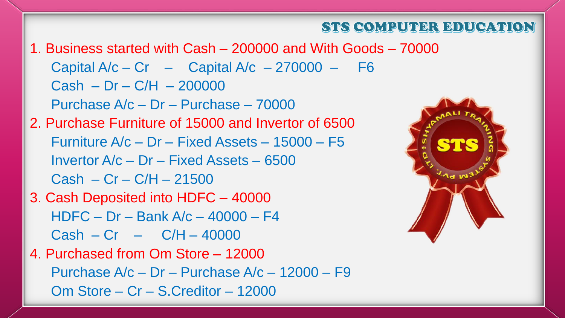#### STS COMPUTER EDUCATION

1. Business started with Cash – 200000 and With Goods – 70000 Capital  $A/c - Cr$  – Capital  $A/c$  – 270000 – F6  $Cash - Dr - C/H - 200000$ Purchase A/c – Dr – Purchase – 70000 2. Purchase Furniture of 15000 and Invertor of 6500 Furniture A/c – Dr – Fixed Assets – 15000 – F5 Invertor A/c – Dr – Fixed Assets – 6500  $Cash - Cr - C/H - 21500$ 3. Cash Deposited into HDFC – 40000 HDFC – Dr – Bank A/c – 40000 – F4  $Cash - Cr - C/H - 40000$ 4. Purchased from Om Store – 12000 Purchase A/c – Dr – Purchase A/c – 12000 – F9 Om Store – Cr – S.Creditor – 12000

![](_page_1_Picture_2.jpeg)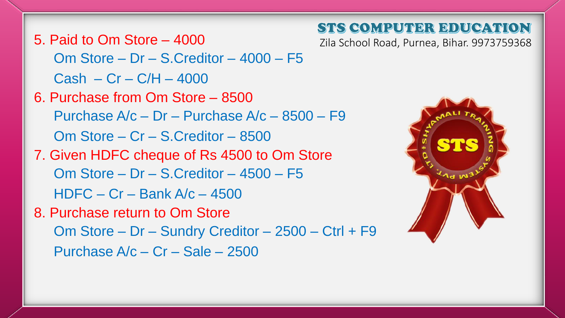#### STS COMPUTER EDUCATION

Zila School Road, Purnea, Bihar. 9973759368

5. Paid to Om Store – 4000 Om Store – Dr – S.Creditor – 4000 – F5  $Cash - Cr - C/H - 4000$ 

6. Purchase from Om Store – 8500 Purchase A/c – Dr – Purchase A/c – 8500 – F9 Om Store – Cr – S.Creditor – 8500 7. Given HDFC cheque of Rs 4500 to Om Store Om Store – Dr – S.Creditor – 4500 – F5 HDFC – Cr – Bank A/c – 4500 8. Purchase return to Om Store Om Store – Dr – Sundry Creditor – 2500 – Ctrl + F9 Purchase A/c – Cr – Sale – 2500

![](_page_2_Picture_3.jpeg)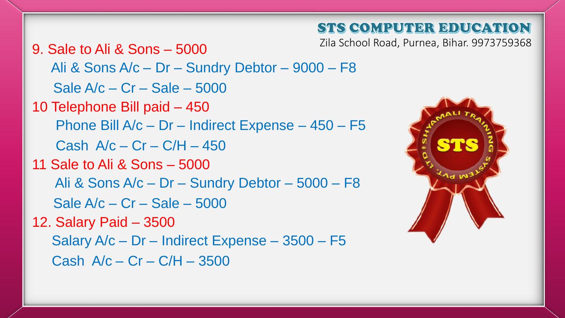### STS COMPUTER EDUCATION

Zila School Road, Purnea, Bihar. 9973759368

9. Sale to Ali & Sons – 5000 Ali & Sons A/c – Dr – Sundry Debtor – 9000 – F8 Sale A/c – Cr – Sale – 5000 10 Telephone Bill paid – 450 Phone Bill A/c – Dr – Indirect Expense – 450 – F5 Cash  $A/c - Cr - C/H - 450$ 11 Sale to Ali & Sons – 5000 Ali & Sons A/c – Dr – Sundry Debtor – 5000 – F8 Sale A/c – Cr – Sale – 5000 12. Salary Paid – 3500 Salary A/c – Dr – Indirect Expense – 3500 – F5 Cash  $A/c - Cr - C/H - 3500$ 

![](_page_3_Picture_3.jpeg)